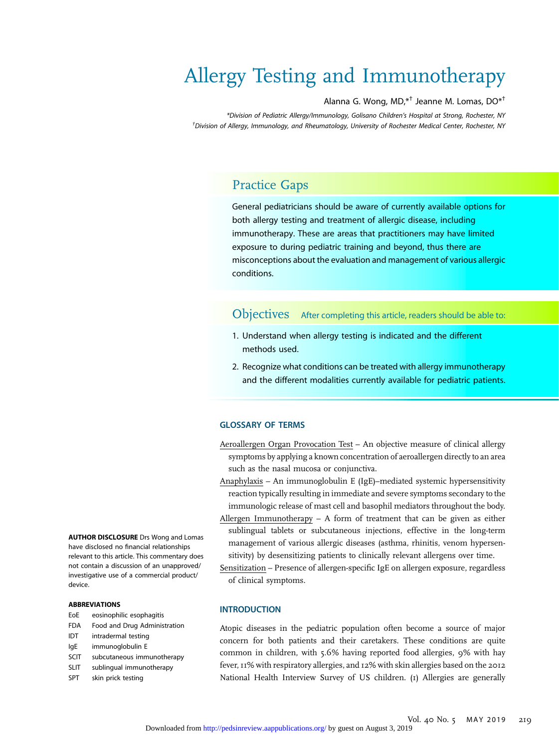# Allergy Testing and Immunotherapy

### Alanna G. Wong, MD,\*† Jeanne M. Lomas, DO\*†

\*Division of Pediatric Allergy/Immunology, Golisano Children's Hospital at Strong, Rochester, NY † Division of Allergy, Immunology, and Rheumatology, University of Rochester Medical Center, Rochester, NY

### Practice Gaps

General pediatricians should be aware of currently available options for both allergy testing and treatment of allergic disease, including immunotherapy. These are areas that practitioners may have limited exposure to during pediatric training and beyond, thus there are misconceptions about the evaluation and management of various allergic conditions.

### Objectives After completing this article, readers should be able to:

- 1. Understand when allergy testing is indicated and the different methods used.
- 2. Recognize what conditions can be treated with allergy immunotherapy and the different modalities currently available for pediatric patients.

#### GLOSSARY OF TERMS

- Aeroallergen Organ Provocation Test An objective measure of clinical allergy symptoms by applying a known concentration of aeroallergen directly to an area such as the nasal mucosa or conjunctiva.
- Anaphylaxis An immunoglobulin E (IgE)–mediated systemic hypersensitivity reaction typically resulting in immediate and severe symptoms secondary to the immunologic release of mast cell and basophil mediators throughout the body.
- Allergen Immunotherapy A form of treatment that can be given as either sublingual tablets or subcutaneous injections, effective in the long-term management of various allergic diseases (asthma, rhinitis, venom hypersensitivity) by desensitizing patients to clinically relevant allergens over time.
- Sensitization Presence of allergen-specific IgE on allergen exposure, regardless of clinical symptoms.

AUTHOR DISCLOSURE Drs Wong and Lomas have disclosed no financial relationships relevant to this article. This commentary does not contain a discussion of an unapproved/ investigative use of a commercial product/ device.

#### ABBREVIATIONS

- EoE eosinophilic esophagitis
- FDA Food and Drug Administration
- IDT intradermal testing
- IgE immunoglobulin E
- SCIT subcutaneous immunotherapy
- SLIT sublingual immunotherapy
- SPT skin prick testing

#### **INTRODUCTION**

Atopic diseases in the pediatric population often become a source of major concern for both patients and their caretakers. These conditions are quite common in children, with 5.6% having reported food allergies, 9% with hay fever, 11% with respiratory allergies, and 12% with skin allergies based on the 2012 National Health Interview Survey of US children. (1) Allergies are generally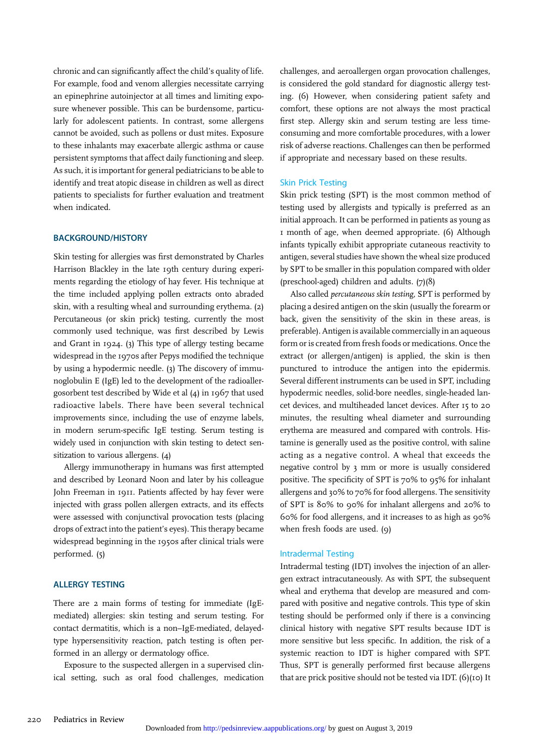chronic and can significantly affect the child's quality of life. For example, food and venom allergies necessitate carrying an epinephrine autoinjector at all times and limiting exposure whenever possible. This can be burdensome, particularly for adolescent patients. In contrast, some allergens cannot be avoided, such as pollens or dust mites. Exposure to these inhalants may exacerbate allergic asthma or cause persistent symptoms that affect daily functioning and sleep. As such, it is important for general pediatricians to be able to identify and treat atopic disease in children as well as direct patients to specialists for further evaluation and treatment when indicated.

#### BACKGROUND/HISTORY

Skin testing for allergies was first demonstrated by Charles Harrison Blackley in the late 19th century during experiments regarding the etiology of hay fever. His technique at the time included applying pollen extracts onto abraded skin, with a resulting wheal and surrounding erythema. (2) Percutaneous (or skin prick) testing, currently the most commonly used technique, was first described by Lewis and Grant in 1924. (3) This type of allergy testing became widespread in the 1970s after Pepys modified the technique by using a hypodermic needle. (3) The discovery of immunoglobulin E (IgE) led to the development of the radioallergosorbent test described by Wide et al (4) in 1967 that used radioactive labels. There have been several technical improvements since, including the use of enzyme labels, in modern serum-specific IgE testing. Serum testing is widely used in conjunction with skin testing to detect sensitization to various allergens. (4)

Allergy immunotherapy in humans was first attempted and described by Leonard Noon and later by his colleague John Freeman in 1911. Patients affected by hay fever were injected with grass pollen allergen extracts, and its effects were assessed with conjunctival provocation tests (placing drops of extract into the patient's eyes). This therapy became widespread beginning in the 1950s after clinical trials were performed. (5)

#### ALLERGY TESTING

There are 2 main forms of testing for immediate (IgEmediated) allergies: skin testing and serum testing. For contact dermatitis, which is a non–IgE-mediated, delayedtype hypersensitivity reaction, patch testing is often performed in an allergy or dermatology office.

Exposure to the suspected allergen in a supervised clinical setting, such as oral food challenges, medication challenges, and aeroallergen organ provocation challenges, is considered the gold standard for diagnostic allergy testing. (6) However, when considering patient safety and comfort, these options are not always the most practical first step. Allergy skin and serum testing are less timeconsuming and more comfortable procedures, with a lower risk of adverse reactions. Challenges can then be performed if appropriate and necessary based on these results.

#### Skin Prick Testing

Skin prick testing (SPT) is the most common method of testing used by allergists and typically is preferred as an initial approach. It can be performed in patients as young as 1 month of age, when deemed appropriate. (6) Although infants typically exhibit appropriate cutaneous reactivity to antigen, several studies have shown the wheal size produced by SPT to be smaller in this population compared with older (preschool-aged) children and adults. (7)(8)

Also called percutaneous skin testing, SPT is performed by placing a desired antigen on the skin (usually the forearm or back, given the sensitivity of the skin in these areas, is preferable). Antigen is available commercially in an aqueous form or is created from fresh foods or medications. Once the extract (or allergen/antigen) is applied, the skin is then punctured to introduce the antigen into the epidermis. Several different instruments can be used in SPT, including hypodermic needles, solid-bore needles, single-headed lancet devices, and multiheaded lancet devices. After 15 to 20 minutes, the resulting wheal diameter and surrounding erythema are measured and compared with controls. Histamine is generally used as the positive control, with saline acting as a negative control. A wheal that exceeds the negative control by 3 mm or more is usually considered positive. The specificity of SPT is 70% to 95% for inhalant allergens and 30% to 70% for food allergens. The sensitivity of SPT is 80% to 90% for inhalant allergens and 20% to 60% for food allergens, and it increases to as high as 90% when fresh foods are used. (9)

#### Intradermal Testing

Intradermal testing (IDT) involves the injection of an allergen extract intracutaneously. As with SPT, the subsequent wheal and erythema that develop are measured and compared with positive and negative controls. This type of skin testing should be performed only if there is a convincing clinical history with negative SPT results because IDT is more sensitive but less specific. In addition, the risk of a systemic reaction to IDT is higher compared with SPT. Thus, SPT is generally performed first because allergens that are prick positive should not be tested via IDT. (6)(10) It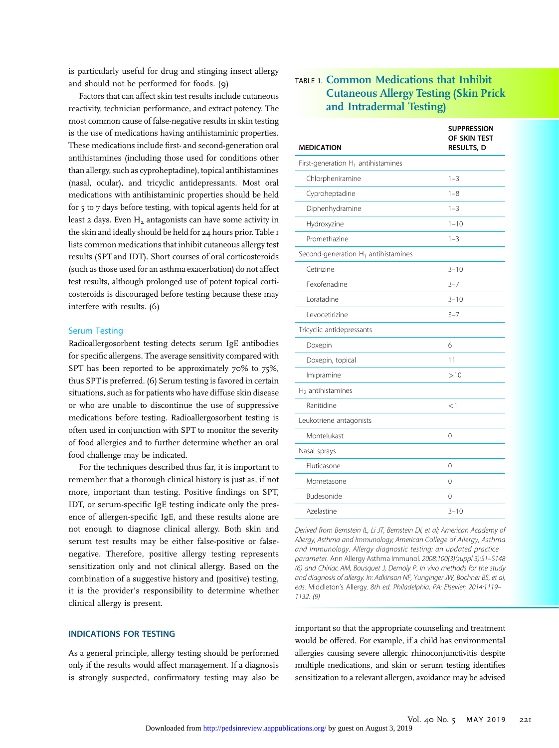is particularly useful for drug and stinging insect allergy and should not be performed for foods. (9)

Factors that can affect skin test results include cutaneous reactivity, technician performance, and extract potency. The most common cause of false-negative results in skin testing is the use of medications having antihistaminic properties. These medications include first- and second-generation oral antihistamines (including those used for conditions other than allergy, such as cyproheptadine), topical antihistamines (nasal, ocular), and tricyclic antidepressants. Most oral medications with antihistaminic properties should be held for 5 to 7 days before testing, with topical agents held for at least 2 days. Even  $H_2$  antagonists can have some activity in the skin and ideally should be held for 24 hours prior. Table 1 lists common medications that inhibit cutaneous allergy test results (SPT and IDT). Short courses of oral corticosteroids (such as those used for an asthma exacerbation) do not affect test results, although prolonged use of potent topical corticosteroids is discouraged before testing because these may interfere with results. (6)

#### Serum Testing

Radioallergosorbent testing detects serum IgE antibodies for specific allergens. The average sensitivity compared with SPT has been reported to be approximately 70% to 75%, thus SPT is preferred. (6) Serum testing is favored in certain situations, such as for patients who have diffuse skin disease or who are unable to discontinue the use of suppressive medications before testing. Radioallergosorbent testing is often used in conjunction with SPT to monitor the severity of food allergies and to further determine whether an oral food challenge may be indicated.

For the techniques described thus far, it is important to remember that a thorough clinical history is just as, if not more, important than testing. Positive findings on SPT, IDT, or serum-specific IgE testing indicate only the presence of allergen-specific IgE, and these results alone are not enough to diagnose clinical allergy. Both skin and serum test results may be either false-positive or falsenegative. Therefore, positive allergy testing represents sensitization only and not clinical allergy. Based on the combination of a suggestive history and (positive) testing, it is the provider's responsibility to determine whether clinical allergy is present.

#### INDICATIONS FOR TESTING

As a general principle, allergy testing should be performed only if the results would affect management. If a diagnosis is strongly suspected, confirmatory testing may also be

### TABLE 1. Common Medications that Inhibit Cutaneous Allergy Testing (Skin Prick and Intradermal Testing)

| <b>MEDICATION</b>                      | <b>SUPPRESSION</b><br>OF SKIN TEST<br><b>RESULTS, D</b> |
|----------------------------------------|---------------------------------------------------------|
| First-generation $H_1$ antihistamines  |                                                         |
| Chlorpheniramine                       | $1 - 3$                                                 |
| Cyproheptadine                         | $1 - 8$                                                 |
| Diphenhydramine                        | $1 - 3$                                                 |
| Hydroxyzine                            | $1 - 10$                                                |
| Promethazine                           | $1 - 3$                                                 |
| Second-generation $H_1$ antihistamines |                                                         |
| Cetirizine                             | $3 - 10$                                                |
| Fexofenadine                           | $3 - 7$                                                 |
| I oratadine                            | $3 - 10$                                                |
| Levocetirizine                         | $3 - 7$                                                 |
| Tricyclic antidepressants              |                                                         |
| Doxepin                                | 6                                                       |
| Doxepin, topical                       | 11                                                      |
| Imipramine                             | >10                                                     |
| $H2$ antihistamines                    |                                                         |
| Ranitidine                             | <1                                                      |
| Leukotriene antagonists                |                                                         |
| Montelukast                            | 0                                                       |
| Nasal sprays                           |                                                         |
| Fluticasone                            | 0                                                       |
| Mometasone                             | 0                                                       |
| Budesonide                             | 0                                                       |
| Azelastine                             | $3 - 10$                                                |

Derived from Bernstein IL, Li JT, Bernstein DI, et al; American Academy of Allergy, Asthma and Immunology; American College of Allergy, Asthma and Immunology. Allergy diagnostic testing: an updated practice parameter. Ann Allergy Asthma Immunol. 2008;100(3)(suppl 3):S1–S148 (6) and Chiriac AM, Bousquet J, Demoly P. In vivo methods for the study and diagnosis of allergy. In: Adkinson NF, Yunginger JW, Bochner BS, et al, eds. Middleton's Allergy. 8th ed. Philadelphia, PA: Elsevier; 2014:1119– 1132. (9)

important so that the appropriate counseling and treatment would be offered. For example, if a child has environmental allergies causing severe allergic rhinoconjunctivitis despite multiple medications, and skin or serum testing identifies sensitization to a relevant allergen, avoidance may be advised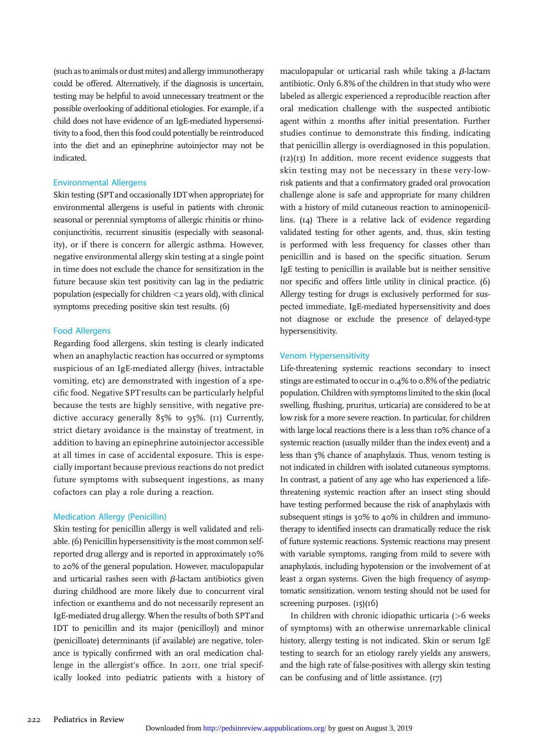(such as to animals or dust mites) and allergy immunotherapy could be offered. Alternatively, if the diagnosis is uncertain, testing may be helpful to avoid unnecessary treatment or the possible overlooking of additional etiologies. For example, if a child does not have evidence of an IgE-mediated hypersensitivity to a food, then this food could potentially be reintroduced into the diet and an epinephrine autoinjector may not be indicated.

#### Environmental Allergens

Skin testing (SPTand occasionally IDTwhen appropriate) for environmental allergens is useful in patients with chronic seasonal or perennial symptoms of allergic rhinitis or rhinoconjunctivitis, recurrent sinusitis (especially with seasonality), or if there is concern for allergic asthma. However, negative environmental allergy skin testing at a single point in time does not exclude the chance for sensitization in the future because skin test positivity can lag in the pediatric population (especially for children  $\lt$  2 years old), with clinical symptoms preceding positive skin test results. (6)

#### Food Allergens

Regarding food allergens, skin testing is clearly indicated when an anaphylactic reaction has occurred or symptoms suspicious of an IgE-mediated allergy (hives, intractable vomiting, etc) are demonstrated with ingestion of a specific food. Negative SPT results can be particularly helpful because the tests are highly sensitive, with negative predictive accuracy generally 85% to 95%. (11) Currently, strict dietary avoidance is the mainstay of treatment, in addition to having an epinephrine autoinjector accessible at all times in case of accidental exposure. This is especially important because previous reactions do not predict future symptoms with subsequent ingestions, as many cofactors can play a role during a reaction.

#### Medication Allergy (Penicillin)

Skin testing for penicillin allergy is well validated and reliable. (6) Penicillin hypersensitivity is the most common selfreported drug allergy and is reported in approximately 10% to 20% of the general population. However, maculopapular and urticarial rashes seen with  $\beta$ -lactam antibiotics given during childhood are more likely due to concurrent viral infection or exanthems and do not necessarily represent an IgE-mediated drug allergy. When the results of both SPTand IDT to penicillin and its major (penicilloyl) and minor (penicilloate) determinants (if available) are negative, tolerance is typically confirmed with an oral medication challenge in the allergist's office. In 2011, one trial specifically looked into pediatric patients with a history of maculopapular or urticarial rash while taking a  $\beta$ -lactam antibiotic. Only 6.8% of the children in that study who were labeled as allergic experienced a reproducible reaction after oral medication challenge with the suspected antibiotic agent within 2 months after initial presentation. Further studies continue to demonstrate this finding, indicating that penicillin allergy is overdiagnosed in this population. (12)(13) In addition, more recent evidence suggests that skin testing may not be necessary in these very-lowrisk patients and that a confirmatory graded oral provocation challenge alone is safe and appropriate for many children with a history of mild cutaneous reaction to aminopenicillins. (14) There is a relative lack of evidence regarding validated testing for other agents, and, thus, skin testing is performed with less frequency for classes other than penicillin and is based on the specific situation. Serum IgE testing to penicillin is available but is neither sensitive nor specific and offers little utility in clinical practice. (6) Allergy testing for drugs is exclusively performed for suspected immediate, IgE-mediated hypersensitivity and does not diagnose or exclude the presence of delayed-type hypersensitivity.

#### Venom Hypersensitivity

Life-threatening systemic reactions secondary to insect stings are estimated to occur in 0.4% to 0.8% of the pediatric population. Children with symptoms limited to the skin (local swelling, flushing, pruritus, urticaria) are considered to be at low risk for a more severe reaction. In particular, for children with large local reactions there is a less than 10% chance of a systemic reaction (usually milder than the index event) and a less than 5% chance of anaphylaxis. Thus, venom testing is not indicated in children with isolated cutaneous symptoms. In contrast, a patient of any age who has experienced a lifethreatening systemic reaction after an insect sting should have testing performed because the risk of anaphylaxis with subsequent stings is 30% to 40% in children and immunotherapy to identified insects can dramatically reduce the risk of future systemic reactions. Systemic reactions may present with variable symptoms, ranging from mild to severe with anaphylaxis, including hypotension or the involvement of at least 2 organ systems. Given the high frequency of asymptomatic sensitization, venom testing should not be used for screening purposes. (15)(16)

In children with chronic idiopathic urticaria (>6 weeks of symptoms) with an otherwise unremarkable clinical history, allergy testing is not indicated. Skin or serum IgE testing to search for an etiology rarely yields any answers, and the high rate of false-positives with allergy skin testing can be confusing and of little assistance. (17)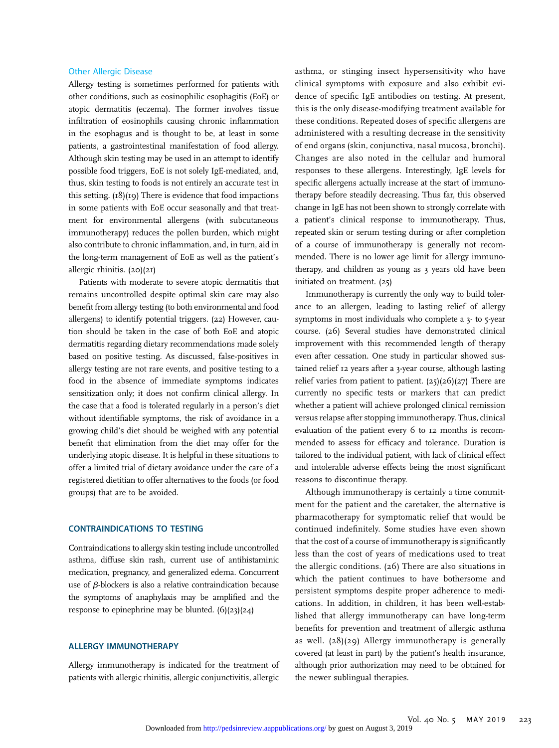#### Other Allergic Disease

Allergy testing is sometimes performed for patients with other conditions, such as eosinophilic esophagitis (EoE) or atopic dermatitis (eczema). The former involves tissue infiltration of eosinophils causing chronic inflammation in the esophagus and is thought to be, at least in some patients, a gastrointestinal manifestation of food allergy. Although skin testing may be used in an attempt to identify possible food triggers, EoE is not solely IgE-mediated, and, thus, skin testing to foods is not entirely an accurate test in this setting. (18)(19) There is evidence that food impactions in some patients with EoE occur seasonally and that treatment for environmental allergens (with subcutaneous immunotherapy) reduces the pollen burden, which might also contribute to chronic inflammation, and, in turn, aid in the long-term management of EoE as well as the patient's allergic rhinitis. (20)(21)

Patients with moderate to severe atopic dermatitis that remains uncontrolled despite optimal skin care may also benefit from allergy testing (to both environmental and food allergens) to identify potential triggers. (22) However, caution should be taken in the case of both EoE and atopic dermatitis regarding dietary recommendations made solely based on positive testing. As discussed, false-positives in allergy testing are not rare events, and positive testing to a food in the absence of immediate symptoms indicates sensitization only; it does not confirm clinical allergy. In the case that a food is tolerated regularly in a person's diet without identifiable symptoms, the risk of avoidance in a growing child's diet should be weighed with any potential benefit that elimination from the diet may offer for the underlying atopic disease. It is helpful in these situations to offer a limited trial of dietary avoidance under the care of a registered dietitian to offer alternatives to the foods (or food groups) that are to be avoided.

#### CONTRAINDICATIONS TO TESTING

Contraindications to allergy skin testing include uncontrolled asthma, diffuse skin rash, current use of antihistaminic medication, pregnancy, and generalized edema. Concurrent use of  $\beta$ -blockers is also a relative contraindication because the symptoms of anaphylaxis may be amplified and the response to epinephrine may be blunted.  $(6)(23)(24)$ 

#### ALLERGY IMMUNOTHERAPY

Allergy immunotherapy is indicated for the treatment of patients with allergic rhinitis, allergic conjunctivitis, allergic

asthma, or stinging insect hypersensitivity who have clinical symptoms with exposure and also exhibit evidence of specific IgE antibodies on testing. At present, this is the only disease-modifying treatment available for these conditions. Repeated doses of specific allergens are administered with a resulting decrease in the sensitivity of end organs (skin, conjunctiva, nasal mucosa, bronchi). Changes are also noted in the cellular and humoral responses to these allergens. Interestingly, IgE levels for specific allergens actually increase at the start of immunotherapy before steadily decreasing. Thus far, this observed change in IgE has not been shown to strongly correlate with a patient's clinical response to immunotherapy. Thus, repeated skin or serum testing during or after completion of a course of immunotherapy is generally not recommended. There is no lower age limit for allergy immunotherapy, and children as young as 3 years old have been initiated on treatment. (25)

Immunotherapy is currently the only way to build tolerance to an allergen, leading to lasting relief of allergy symptoms in most individuals who complete a 3- to 5-year course. (26) Several studies have demonstrated clinical improvement with this recommended length of therapy even after cessation. One study in particular showed sustained relief 12 years after a 3-year course, although lasting relief varies from patient to patient. (25)(26)(27) There are currently no specific tests or markers that can predict whether a patient will achieve prolonged clinical remission versus relapse after stopping immunotherapy. Thus, clinical evaluation of the patient every 6 to 12 months is recommended to assess for efficacy and tolerance. Duration is tailored to the individual patient, with lack of clinical effect and intolerable adverse effects being the most significant reasons to discontinue therapy.

Although immunotherapy is certainly a time commitment for the patient and the caretaker, the alternative is pharmacotherapy for symptomatic relief that would be continued indefinitely. Some studies have even shown that the cost of a course of immunotherapy is significantly less than the cost of years of medications used to treat the allergic conditions. (26) There are also situations in which the patient continues to have bothersome and persistent symptoms despite proper adherence to medications. In addition, in children, it has been well-established that allergy immunotherapy can have long-term benefits for prevention and treatment of allergic asthma as well. (28)(29) Allergy immunotherapy is generally covered (at least in part) by the patient's health insurance, although prior authorization may need to be obtained for the newer sublingual therapies.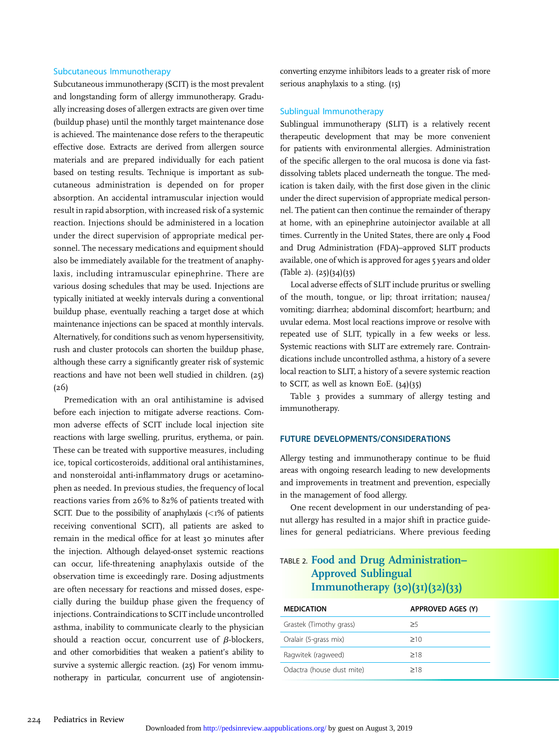#### Subcutaneous Immunotherapy

Subcutaneous immunotherapy (SCIT) is the most prevalent and longstanding form of allergy immunotherapy. Gradually increasing doses of allergen extracts are given over time (buildup phase) until the monthly target maintenance dose is achieved. The maintenance dose refers to the therapeutic effective dose. Extracts are derived from allergen source materials and are prepared individually for each patient based on testing results. Technique is important as subcutaneous administration is depended on for proper absorption. An accidental intramuscular injection would result in rapid absorption, with increased risk of a systemic reaction. Injections should be administered in a location under the direct supervision of appropriate medical personnel. The necessary medications and equipment should also be immediately available for the treatment of anaphylaxis, including intramuscular epinephrine. There are various dosing schedules that may be used. Injections are typically initiated at weekly intervals during a conventional buildup phase, eventually reaching a target dose at which maintenance injections can be spaced at monthly intervals. Alternatively, for conditions such as venom hypersensitivity, rush and cluster protocols can shorten the buildup phase, although these carry a significantly greater risk of systemic reactions and have not been well studied in children. (25) (26)

Premedication with an oral antihistamine is advised before each injection to mitigate adverse reactions. Common adverse effects of SCIT include local injection site reactions with large swelling, pruritus, erythema, or pain. These can be treated with supportive measures, including ice, topical corticosteroids, additional oral antihistamines, and nonsteroidal anti-inflammatory drugs or acetaminophen as needed. In previous studies, the frequency of local reactions varies from 26% to 82% of patients treated with SCIT. Due to the possibility of anaphylaxis  $\langle \langle 1 \rangle$  of patients receiving conventional SCIT), all patients are asked to remain in the medical office for at least 30 minutes after the injection. Although delayed-onset systemic reactions can occur, life-threatening anaphylaxis outside of the observation time is exceedingly rare. Dosing adjustments are often necessary for reactions and missed doses, especially during the buildup phase given the frequency of injections. Contraindications to SCIT include uncontrolled asthma, inability to communicate clearly to the physician should a reaction occur, concurrent use of  $\beta$ -blockers, and other comorbidities that weaken a patient's ability to survive a systemic allergic reaction. (25) For venom immunotherapy in particular, concurrent use of angiotensinconverting enzyme inhibitors leads to a greater risk of more serious anaphylaxis to a sting. (15)

#### Sublingual Immunotherapy

Sublingual immunotherapy (SLIT) is a relatively recent therapeutic development that may be more convenient for patients with environmental allergies. Administration of the specific allergen to the oral mucosa is done via fastdissolving tablets placed underneath the tongue. The medication is taken daily, with the first dose given in the clinic under the direct supervision of appropriate medical personnel. The patient can then continue the remainder of therapy at home, with an epinephrine autoinjector available at all times. Currently in the United States, there are only 4 Food and Drug Administration (FDA)–approved SLIT products available, one of which is approved for ages 5 years and older (Table 2). (25)(34)(35)

Local adverse effects of SLIT include pruritus or swelling of the mouth, tongue, or lip; throat irritation; nausea/ vomiting; diarrhea; abdominal discomfort; heartburn; and uvular edema. Most local reactions improve or resolve with repeated use of SLIT, typically in a few weeks or less. Systemic reactions with SLIT are extremely rare. Contraindications include uncontrolled asthma, a history of a severe local reaction to SLIT, a history of a severe systemic reaction to SCIT, as well as known EoE. (34)(35)

Table 3 provides a summary of allergy testing and immunotherapy.

#### FUTURE DEVELOPMENTS/CONSIDERATIONS

Allergy testing and immunotherapy continue to be fluid areas with ongoing research leading to new developments and improvements in treatment and prevention, especially in the management of food allergy.

One recent development in our understanding of peanut allergy has resulted in a major shift in practice guidelines for general pediatricians. Where previous feeding

### TABLE 2. Food and Drug Administration-Approved Sublingual Immunotherapy (30)(31)(32)(33)

| <b>MEDICATION</b>         | <b>APPROVED AGES (Y)</b> |
|---------------------------|--------------------------|
| Grastek (Timothy grass)   | >5                       |
| Oralair (5-grass mix)     | $\geq 10$                |
| Ragwitek (ragweed)        | >18                      |
| Odactra (house dust mite) | >18                      |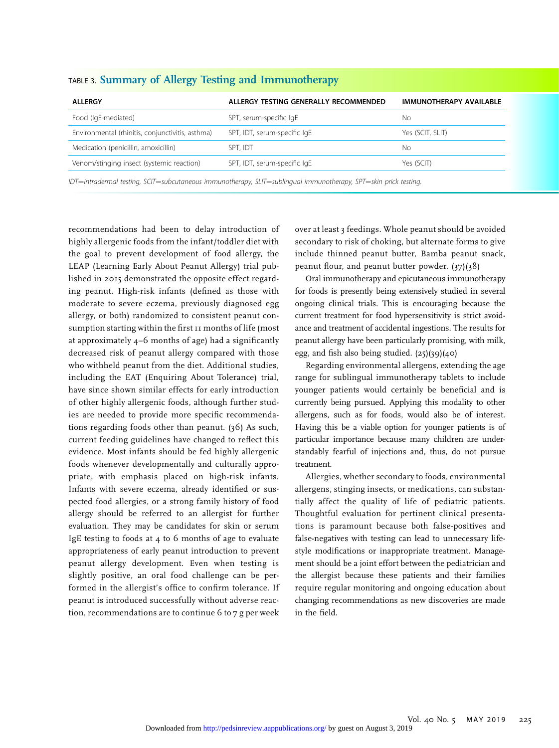| <b>ALLERGY</b>                                                                                                            | ALLERGY TESTING GENERALLY RECOMMENDED | <b>IMMUNOTHERAPY AVAILABLE</b> |  |
|---------------------------------------------------------------------------------------------------------------------------|---------------------------------------|--------------------------------|--|
| Food (IgE-mediated)                                                                                                       | SPT, serum-specific lgE               | No.                            |  |
| Environmental (rhinitis, conjunctivitis, asthma)                                                                          | SPT, IDT, serum-specific IgE          | Yes (SCIT, SLIT)               |  |
| Medication (penicillin, amoxicillin)                                                                                      | SPT. IDT                              | No.                            |  |
| Venom/stinging insect (systemic reaction)                                                                                 | SPT, IDT, serum-specific IgE          | Yes (SCIT)                     |  |
| $DT=intradermal$ testing $SCT=subcutaneeus$ immunatheranv, $SUT=sublinaulan$ immunatheranv, $SPT=kin$ <i>ncik</i> testina |                                       |                                |  |

#### TABLE 3. Summary of Allergy Testing and Immunotherapy

IDT $=$ intradermal testing, SCIT $=$ subcutaneous immunotherapy, SLIT $=$ sublingual immunotherapy, SPT $=$ skin prick testing.

recommendations had been to delay introduction of highly allergenic foods from the infant/toddler diet with the goal to prevent development of food allergy, the LEAP (Learning Early About Peanut Allergy) trial published in 2015 demonstrated the opposite effect regarding peanut. High-risk infants (defined as those with moderate to severe eczema, previously diagnosed egg allergy, or both) randomized to consistent peanut consumption starting within the first 11 months of life (most at approximately 4–6 months of age) had a significantly decreased risk of peanut allergy compared with those who withheld peanut from the diet. Additional studies, including the EAT (Enquiring About Tolerance) trial, have since shown similar effects for early introduction of other highly allergenic foods, although further studies are needed to provide more specific recommendations regarding foods other than peanut. (36) As such, current feeding guidelines have changed to reflect this evidence. Most infants should be fed highly allergenic foods whenever developmentally and culturally appropriate, with emphasis placed on high-risk infants. Infants with severe eczema, already identified or suspected food allergies, or a strong family history of food allergy should be referred to an allergist for further evaluation. They may be candidates for skin or serum IgE testing to foods at 4 to 6 months of age to evaluate appropriateness of early peanut introduction to prevent peanut allergy development. Even when testing is slightly positive, an oral food challenge can be performed in the allergist's office to confirm tolerance. If peanut is introduced successfully without adverse reaction, recommendations are to continue 6 to 7 g per week

over at least 3 feedings. Whole peanut should be avoided secondary to risk of choking, but alternate forms to give include thinned peanut butter, Bamba peanut snack, peanut flour, and peanut butter powder. (37)(38)

Oral immunotherapy and epicutaneous immunotherapy for foods is presently being extensively studied in several ongoing clinical trials. This is encouraging because the current treatment for food hypersensitivity is strict avoidance and treatment of accidental ingestions. The results for peanut allergy have been particularly promising, with milk, egg, and fish also being studied. (25)(39)(40)

Regarding environmental allergens, extending the age range for sublingual immunotherapy tablets to include younger patients would certainly be beneficial and is currently being pursued. Applying this modality to other allergens, such as for foods, would also be of interest. Having this be a viable option for younger patients is of particular importance because many children are understandably fearful of injections and, thus, do not pursue treatment.

Allergies, whether secondary to foods, environmental allergens, stinging insects, or medications, can substantially affect the quality of life of pediatric patients. Thoughtful evaluation for pertinent clinical presentations is paramount because both false-positives and false-negatives with testing can lead to unnecessary lifestyle modifications or inappropriate treatment. Management should be a joint effort between the pediatrician and the allergist because these patients and their families require regular monitoring and ongoing education about changing recommendations as new discoveries are made in the field.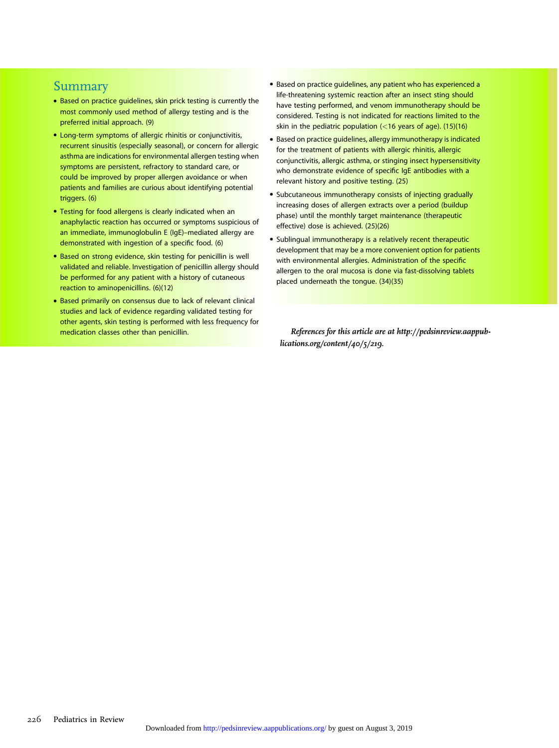### Summary

- Based on practice guidelines, skin prick testing is currently the most commonly used method of allergy testing and is the preferred initial approach. (9)
- Long-term symptoms of allergic rhinitis or conjunctivitis, recurrent sinusitis (especially seasonal), or concern for allergic asthma are indications for environmental allergen testing when symptoms are persistent, refractory to standard care, or could be improved by proper allergen avoidance or when patients and families are curious about identifying potential triggers. (6)
- Testing for food allergens is clearly indicated when an anaphylactic reaction has occurred or symptoms suspicious of an immediate, immunoglobulin E (IgE)–mediated allergy are demonstrated with ingestion of a specific food. (6)
- Based on strong evidence, skin testing for penicillin is well validated and reliable. Investigation of penicillin allergy should be performed for any patient with a history of cutaneous reaction to aminopenicillins. (6)(12)
- Based primarily on consensus due to lack of relevant clinical studies and lack of evidence regarding validated testing for other agents, skin testing is performed with less frequency for medication classes other than penicillin.
- Based on practice guidelines, any patient who has experienced a life-threatening systemic reaction after an insect sting should have testing performed, and venom immunotherapy should be considered. Testing is not indicated for reactions limited to the skin in the pediatric population  $\left($  < 16 years of age). (15)(16)
- Based on practice guidelines, allergy immunotherapy is indicated for the treatment of patients with allergic rhinitis, allergic conjunctivitis, allergic asthma, or stinging insect hypersensitivity who demonstrate evidence of specific IgE antibodies with a relevant history and positive testing. (25)
- Subcutaneous immunotherapy consists of injecting gradually increasing doses of allergen extracts over a period (buildup phase) until the monthly target maintenance (therapeutic effective) dose is achieved. (25)(26)
- Sublingual immunotherapy is a relatively recent therapeutic development that may be a more convenient option for patients with environmental allergies. Administration of the specific allergen to the oral mucosa is done via fast-dissolving tablets placed underneath the tongue. (34)(35)

References for this article are at [http://pedsinreview.aappub](http://pedsinreview.aappublications.org/content/40/5/219)[lications.org/content/40/5/219.](http://pedsinreview.aappublications.org/content/40/5/219)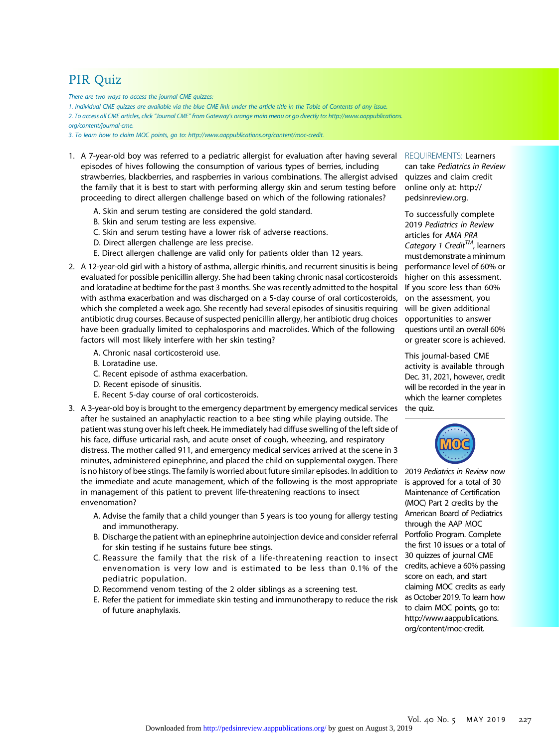## PIR Quiz

There are two ways to access the journal CME quizzes:

1. Individual CME quizzes are available via the blue CME link under the article title in the Table of Contents of any issue.

2. To access all CME articles, click "Journal CME" from Gateway's orange main menu or go directly to: [http://www.aappublications.](http://www.aappublications.org/content/journal-cme)

[org/content/journal-cme.](http://www.aappublications.org/content/journal-cme)

3. To learn how to claim MOC points, go to: [http://www.aappublications.org/content/moc-credit.](http://www.aappublications.org/content/moc-credit)

- 1. A 7-year-old boy was referred to a pediatric allergist for evaluation after having several REQUIREMENTS: Learners episodes of hives following the consumption of various types of berries, including strawberries, blackberries, and raspberries in various combinations. The allergist advised the family that it is best to start with performing allergy skin and serum testing before proceeding to direct allergen challenge based on which of the following rationales?
	- A. Skin and serum testing are considered the gold standard.
	- B. Skin and serum testing are less expensive.
	- C. Skin and serum testing have a lower risk of adverse reactions.
	- D. Direct allergen challenge are less precise.
	- E. Direct allergen challenge are valid only for patients older than 12 years.
- 2. A 12-year-old girl with a history of asthma, allergic rhinitis, and recurrent sinusitis is being evaluated for possible penicillin allergy. She had been taking chronic nasal corticosteroids and loratadine at bedtime for the past 3 months. She was recently admitted to the hospital with asthma exacerbation and was discharged on a 5-day course of oral corticosteroids, which she completed a week ago. She recently had several episodes of sinusitis requiring antibiotic drug courses. Because of suspected penicillin allergy, her antibiotic drug choices have been gradually limited to cephalosporins and macrolides. Which of the following factors will most likely interfere with her skin testing?
	- A. Chronic nasal corticosteroid use.
	- B. Loratadine use.
	- C. Recent episode of asthma exacerbation.
	- D. Recent episode of sinusitis.
	- E. Recent 5-day course of oral corticosteroids.
- is no history of bee stings. The family is worried about future similar episodes. In addition to 2019 Pediatrics in Review now 3. A 3-year-old boy is brought to the emergency department by emergency medical services after he sustained an anaphylactic reaction to a bee sting while playing outside. The patient was stung over his left cheek. He immediately had diffuse swelling of the left side of his face, diffuse urticarial rash, and acute onset of cough, wheezing, and respiratory distress. The mother called 911, and emergency medical services arrived at the scene in 3 minutes, administered epinephrine, and placed the child on supplemental oxygen. There the immediate and acute management, which of the following is the most appropriate in management of this patient to prevent life-threatening reactions to insect envenomation?
	- A. Advise the family that a child younger than 5 years is too young for allergy testing and immunotherapy.
	- B. Discharge the patient with an epinephrine autoinjection device and consider referral for skin testing if he sustains future bee stings.
	- C. Reassure the family that the risk of a life-threatening reaction to insect envenomation is very low and is estimated to be less than 0.1% of the pediatric population.
	- D. Recommend venom testing of the 2 older siblings as a screening test.
	- E. Refer the patient for immediate skin testing and immunotherapy to reduce the risk of future anaphylaxis.

can take Pediatrics in Review quizzes and claim credit online only at: [http://](http://pedsinreview.org) [pedsinreview.org](http://pedsinreview.org).

To successfully complete 2019 Pediatrics in Review articles for AMA PRA Category 1 Credit<sup>TM</sup>, learners must demonstrate aminimum performance level of 60% or higher on this assessment. If you score less than 60% on the assessment, you will be given additional opportunities to answer questions until an overall 60% or greater score is achieved.

This journal-based CME activity is available through Dec. 31, 2021, however, credit will be recorded in the year in which the learner completes the quiz.



is approved for a total of 30 Maintenance of Certification (MOC) Part 2 credits by the American Board of Pediatrics through the AAP MOC Portfolio Program. Complete the first 10 issues or a total of 30 quizzes of journal CME credits, achieve a 60% passing score on each, and start claiming MOC credits as early as October 2019. To learn how to claim MOC points, go to: [http://www.aappublications.](http://www.aappublications.org/content/moc-credit) [org/content/moc-credit](http://www.aappublications.org/content/moc-credit).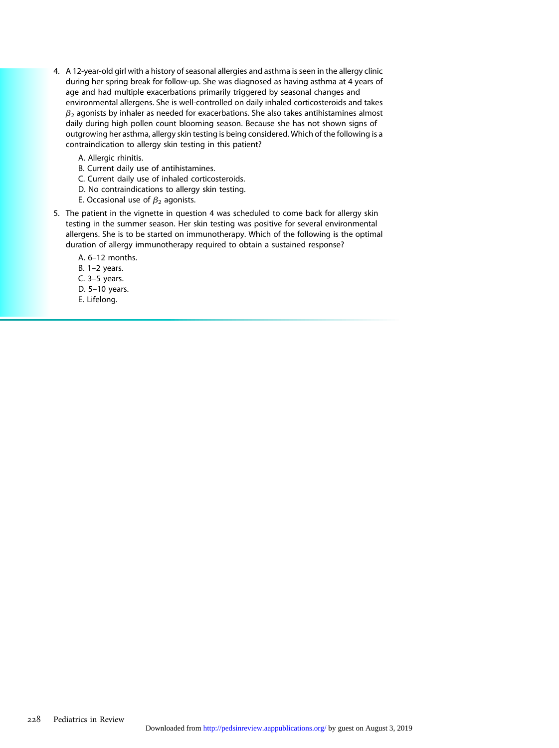- 4. A 12-year-old girl with a history of seasonal allergies and asthma is seen in the allergy clinic during her spring break for follow-up. She was diagnosed as having asthma at 4 years of age and had multiple exacerbations primarily triggered by seasonal changes and environmental allergens. She is well-controlled on daily inhaled corticosteroids and takes  $\beta_2$  agonists by inhaler as needed for exacerbations. She also takes antihistamines almost daily during high pollen count blooming season. Because she has not shown signs of outgrowing her asthma, allergy skin testing is being considered. Which of the following is a contraindication to allergy skin testing in this patient?
	- A. Allergic rhinitis.
	- B. Current daily use of antihistamines.
	- C. Current daily use of inhaled corticosteroids.
	- D. No contraindications to allergy skin testing.
	- E. Occasional use of  $\beta_2$  agonists.
- 5. The patient in the vignette in question 4 was scheduled to come back for allergy skin testing in the summer season. Her skin testing was positive for several environmental allergens. She is to be started on immunotherapy. Which of the following is the optimal duration of allergy immunotherapy required to obtain a sustained response?
	- A. 6–12 months.
	- B. 1–2 years.
	- C. 3–5 years.
	- D. 5–10 years.
	- E. Lifelong.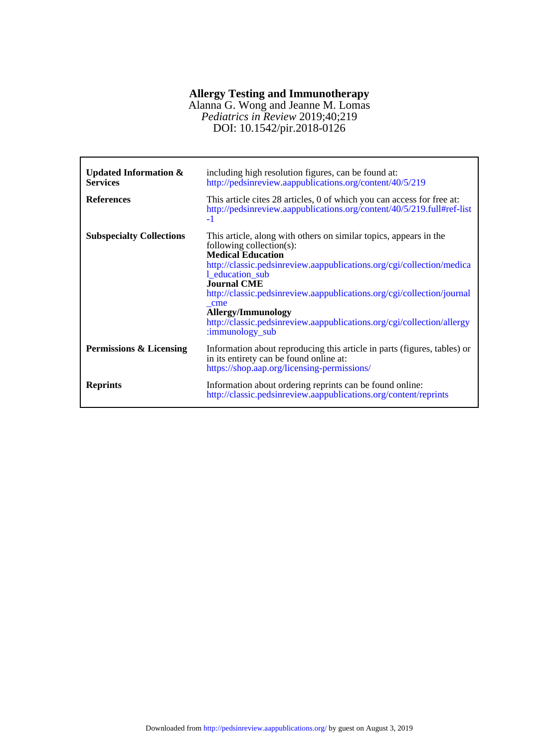### **Allergy Testing and Immunotherapy**

DOI: 10.1542/pir.2018-0126 *Pediatrics in Review* 2019;40;219 Alanna G. Wong and Jeanne M. Lomas

| Updated Information $\&$<br><b>Services</b> | including high resolution figures, can be found at:<br>http://pedsinreview.aappublications.org/content/40/5/219                                                                                                                                                                                                                                                                                                                                        |
|---------------------------------------------|--------------------------------------------------------------------------------------------------------------------------------------------------------------------------------------------------------------------------------------------------------------------------------------------------------------------------------------------------------------------------------------------------------------------------------------------------------|
| <b>References</b>                           | This article cites 28 articles, 0 of which you can access for free at:<br>http://pedsinreview.aappublications.org/content/40/5/219.full#ref-list<br>$-1$                                                                                                                                                                                                                                                                                               |
| <b>Subspecialty Collections</b>             | This article, along with others on similar topics, appears in the<br>following collection(s):<br><b>Medical Education</b><br>http://classic.pedsinreview.aappublications.org/cgi/collection/medica<br>1 education sub<br><b>Journal CME</b><br>http://classic.pedsinreview.aappublications.org/cgi/collection/journal<br>cme<br><b>Allergy/Immunology</b><br>http://classic.pedsinreview.aappublications.org/cgi/collection/allergy<br>:immunology_sub |
| Permissions & Licensing                     | Information about reproducing this article in parts (figures, tables) or<br>in its entirety can be found online at:<br>https://shop.aap.org/licensing-permissions/                                                                                                                                                                                                                                                                                     |
| <b>Reprints</b>                             | Information about ordering reprints can be found online:<br>http://classic.pedsinreview.aappublications.org/content/reprints                                                                                                                                                                                                                                                                                                                           |